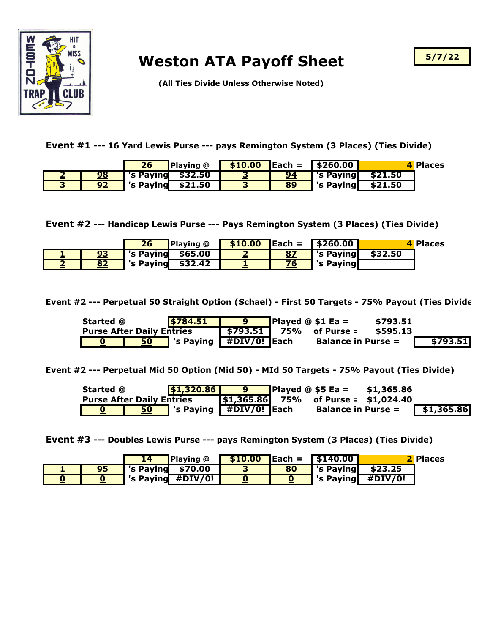

## **Weston ATA Payoff Sheet**

**5/7/22**

**(All Ties Divide Unless Otherwise Noted)**

**Event #1 --- 16 Yard Lewis Purse --- pays Remington System (3 Places) (Ties Divide)**

|    | 26                | <b>Playing</b> @ |    | $$10.00$ Each = $$260.00$ |         | 4 Places |
|----|-------------------|------------------|----|---------------------------|---------|----------|
| 98 | 's Paying \$32.50 |                  | 94 | 's Paying                 | \$21.50 |          |
| 92 | 's Paying         | \$21.50          | 89 | 's Paying                 | \$21.50 |          |

**Event #2 --- Handicap Lewis Purse --- Pays Remington System (3 Places) (Ties Divide)**

|    | 26        | <b>Playing @</b> | \$10.00 |    | $\sqrt{25}$ Each = $\sqrt{5260.00}$ |         | 4 Places |
|----|-----------|------------------|---------|----|-------------------------------------|---------|----------|
| 93 | 's Paying | \$65.00          |         |    | 's Paying                           | \$32.50 |          |
| 82 | 's Paying | \$32.42          |         | 76 | 's Paying                           |         |          |

**Event #2 --- Perpetual 50 Straight Option (Schael) - First 50 Targets - 75% Payout (Ties Divide)**

| Started @                        |    | \$784.51                                       | o | Played $@$ \$1 Ea =             | \$793.51 |          |
|----------------------------------|----|------------------------------------------------|---|---------------------------------|----------|----------|
| <b>Purse After Daily Entries</b> |    |                                                |   | $\sqrt{5793.51}$ 75% of Purse = | \$595.13 |          |
|                                  | 50 | $\sqrt{\ }$ 's Paying $\sqrt{\ }$ #DIV/0! Each |   | <b>Balance in Purse =</b>       |          | \$793.51 |

**Event #2 --- Perpetual Mid 50 Option (Mid 50) - MId 50 Targets - 75% Payout (Ties Divide)**

| Started @                        |           | \$1,320.86                                                               | - 9 | <b>Played <math>@</math> \$5 Ea =</b>         | \$1,365.86 |            |
|----------------------------------|-----------|--------------------------------------------------------------------------|-----|-----------------------------------------------|------------|------------|
| <b>Purse After Daily Entries</b> |           |                                                                          |     | $\sqrt{\$1,365.86}$ 75% of Purse = \$1,024.40 |            |            |
|                                  | <u>50</u> | $\overline{\phantom{a}}$ 's Paying $\overline{\phantom{a}}$ #DIV/0! Each |     | <b>Balance in Purse =</b>                     |            | \$1,365.86 |

**Event #3 --- Doubles Lewis Purse --- pays Remington System (3 Places) (Ties Divide)**

|  |           | <b>Playing</b> @  |    | $\frac{10.00}{2}$ Each = $\frac{15140.00}{2}$ |         | <b>2 Places</b> |
|--|-----------|-------------------|----|-----------------------------------------------|---------|-----------------|
|  | 's Paying | \$70.00           | 80 | 's Paying                                     | \$23.25 |                 |
|  |           | 's Paying #DIV/0! |    | 's Paying                                     | #DIV/0! |                 |